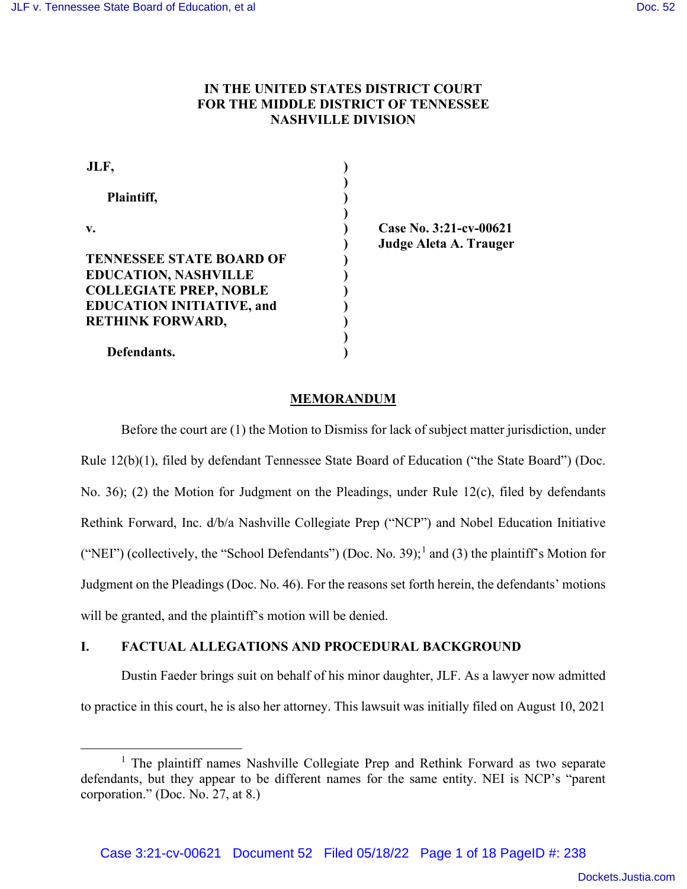# **IN THE UNITED STATES DISTRICT COURT FOR THE MIDDLE DISTRICT OF TENNESSEE NASHVILLE DIVISION**

| JLF,                             |  |
|----------------------------------|--|
|                                  |  |
| Plaintiff,                       |  |
| $\mathbf{v}$ .                   |  |
|                                  |  |
| <b>TENNESSEE STATE BOARD OF</b>  |  |
| <b>EDUCATION, NASHVILLE</b>      |  |
| <b>COLLEGIATE PREP, NOBLE</b>    |  |
| <b>EDUCATION INITIATIVE, and</b> |  |
| <b>RETHINK FORWARD,</b>          |  |
|                                  |  |
| Defendants.                      |  |

**Case No. 3:21-cv-00621 Judge Aleta A. Trauger** 

## **MEMORANDUM**

Before the court are (1) the Motion to Dismiss for lack of subject matter jurisdiction, under Rule 12(b)(1), filed by defendant Tennessee State Board of Education ("the State Board") (Doc. No. 36); (2) the Motion for Judgment on the Pleadings, under Rule 12(c), filed by defendants Rethink Forward, Inc. d/b/a Nashville Collegiate Prep ("NCP") and Nobel Education Initiative ("NEI") (collectively, the "School Defendants") (Doc. No. 39);<sup>1</sup> and (3) the plaintiff's Motion for Judgment on the Pleadings (Doc. No. 46). For the reasons set forth herein, the defendants' motions will be granted, and the plaintiff's motion will be denied.

# **I. FACTUAL ALLEGATIONS AND PROCEDURAL BACKGROUND**

 Dustin Faeder brings suit on behalf of his minor daughter, JLF. As a lawyer now admitted to practice in this court, he is also her attorney. This lawsuit was initially filed on August 10, 2021

<sup>&</sup>lt;sup>1</sup> The plaintiff names Nashville Collegiate Prep and Rethink Forward as two separate defendants, but they appear to be different names for the same entity. NEI is NCP's "parent corporation." (Doc. No. 27, at 8.)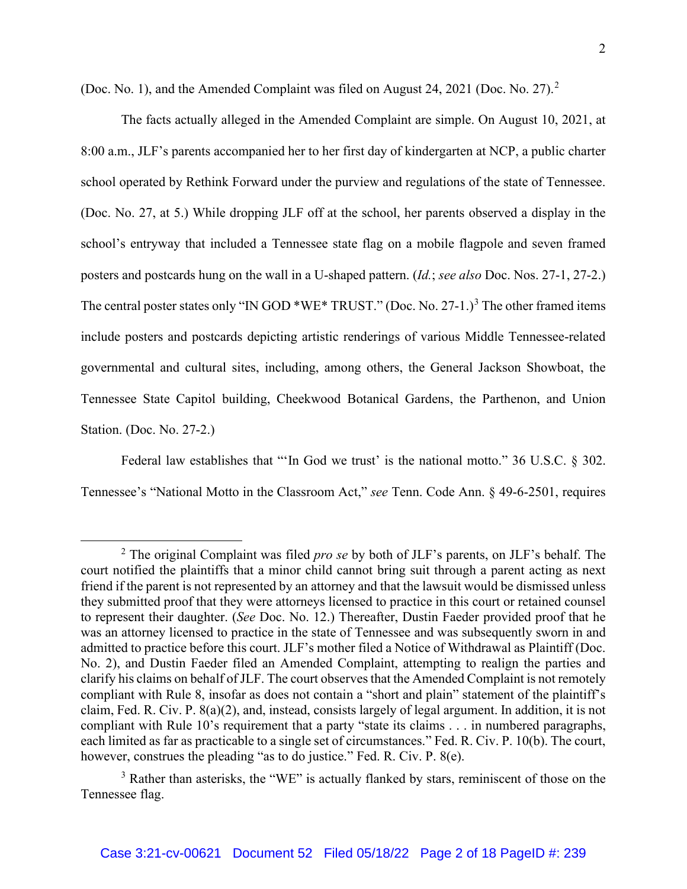(Doc. No. 1), and the Amended Complaint was filed on August 24, 2021 (Doc. No. 27).<sup>2</sup>

The facts actually alleged in the Amended Complaint are simple. On August 10, 2021, at 8:00 a.m., JLF's parents accompanied her to her first day of kindergarten at NCP, a public charter school operated by Rethink Forward under the purview and regulations of the state of Tennessee. (Doc. No. 27, at 5.) While dropping JLF off at the school, her parents observed a display in the school's entryway that included a Tennessee state flag on a mobile flagpole and seven framed posters and postcards hung on the wall in a U-shaped pattern. (*Id.*; *see also* Doc. Nos. 27-1, 27-2.) The central poster states only "IN GOD \*WE\* TRUST." (Doc. No. 27-1.)<sup>3</sup> The other framed items include posters and postcards depicting artistic renderings of various Middle Tennessee-related governmental and cultural sites, including, among others, the General Jackson Showboat, the Tennessee State Capitol building, Cheekwood Botanical Gardens, the Parthenon, and Union Station. (Doc. No. 27-2.)

Federal law establishes that "'In God we trust' is the national motto." 36 U.S.C. § 302. Tennessee's "National Motto in the Classroom Act," *see* Tenn. Code Ann. § 49-6-2501, requires

<sup>2</sup> The original Complaint was filed *pro se* by both of JLF's parents, on JLF's behalf. The court notified the plaintiffs that a minor child cannot bring suit through a parent acting as next friend if the parent is not represented by an attorney and that the lawsuit would be dismissed unless they submitted proof that they were attorneys licensed to practice in this court or retained counsel to represent their daughter. (*See* Doc. No. 12.) Thereafter, Dustin Faeder provided proof that he was an attorney licensed to practice in the state of Tennessee and was subsequently sworn in and admitted to practice before this court. JLF's mother filed a Notice of Withdrawal as Plaintiff (Doc. No. 2), and Dustin Faeder filed an Amended Complaint, attempting to realign the parties and clarify his claims on behalf of JLF. The court observes that the Amended Complaint is not remotely compliant with Rule 8, insofar as does not contain a "short and plain" statement of the plaintiff's claim, Fed. R. Civ. P. 8(a)(2), and, instead, consists largely of legal argument. In addition, it is not compliant with Rule 10's requirement that a party "state its claims . . . in numbered paragraphs, each limited as far as practicable to a single set of circumstances." Fed. R. Civ. P. 10(b). The court, however, construes the pleading "as to do justice." Fed. R. Civ. P. 8(e).

<sup>&</sup>lt;sup>3</sup> Rather than asterisks, the "WE" is actually flanked by stars, reminiscent of those on the Tennessee flag.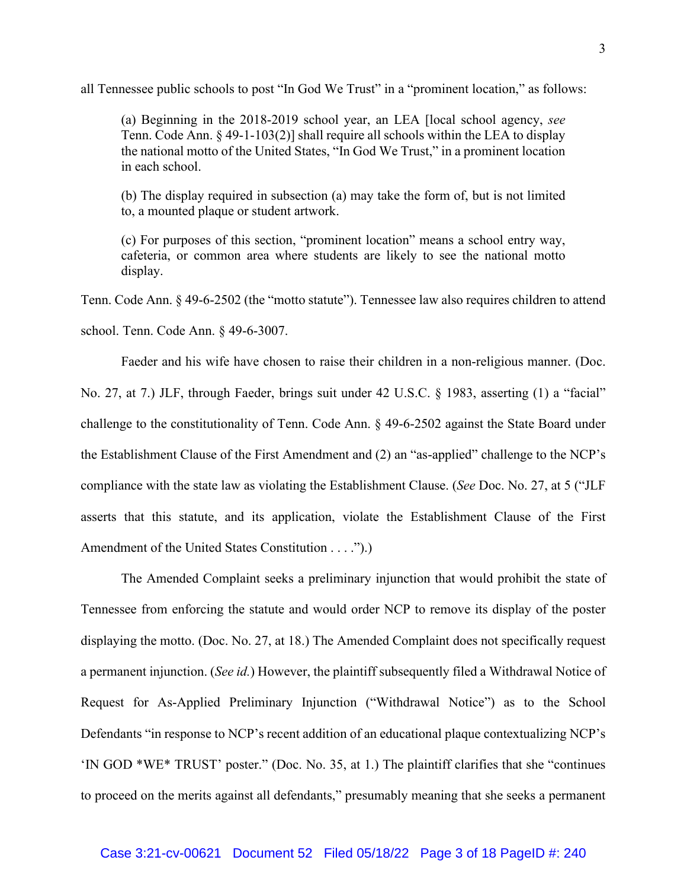all Tennessee public schools to post "In God We Trust" in a "prominent location," as follows:

(a) Beginning in the 2018-2019 school year, an LEA [local school agency, *see*  Tenn. Code Ann. § 49-1-103(2)] shall require all schools within the LEA to display the national motto of the United States, "In God We Trust," in a prominent location in each school.

(b) The display required in subsection (a) may take the form of, but is not limited to, a mounted plaque or student artwork.

(c) For purposes of this section, "prominent location" means a school entry way, cafeteria, or common area where students are likely to see the national motto display.

Tenn. Code Ann. § 49-6-2502 (the "motto statute"). Tennessee law also requires children to attend

school. Tenn. Code Ann. § 49-6-3007.

Faeder and his wife have chosen to raise their children in a non-religious manner. (Doc. No. 27, at 7.) JLF, through Faeder, brings suit under 42 U.S.C. § 1983, asserting (1) a "facial" challenge to the constitutionality of Tenn. Code Ann. § 49-6-2502 against the State Board under the Establishment Clause of the First Amendment and (2) an "as-applied" challenge to the NCP's compliance with the state law as violating the Establishment Clause. (*See* Doc. No. 27, at 5 ("JLF asserts that this statute, and its application, violate the Establishment Clause of the First Amendment of the United States Constitution . . . .").)

The Amended Complaint seeks a preliminary injunction that would prohibit the state of Tennessee from enforcing the statute and would order NCP to remove its display of the poster displaying the motto. (Doc. No. 27, at 18.) The Amended Complaint does not specifically request a permanent injunction. (*See id.*) However, the plaintiff subsequently filed a Withdrawal Notice of Request for As-Applied Preliminary Injunction ("Withdrawal Notice") as to the School Defendants "in response to NCP's recent addition of an educational plaque contextualizing NCP's 'IN GOD \*WE\* TRUST' poster." (Doc. No. 35, at 1.) The plaintiff clarifies that she "continues to proceed on the merits against all defendants," presumably meaning that she seeks a permanent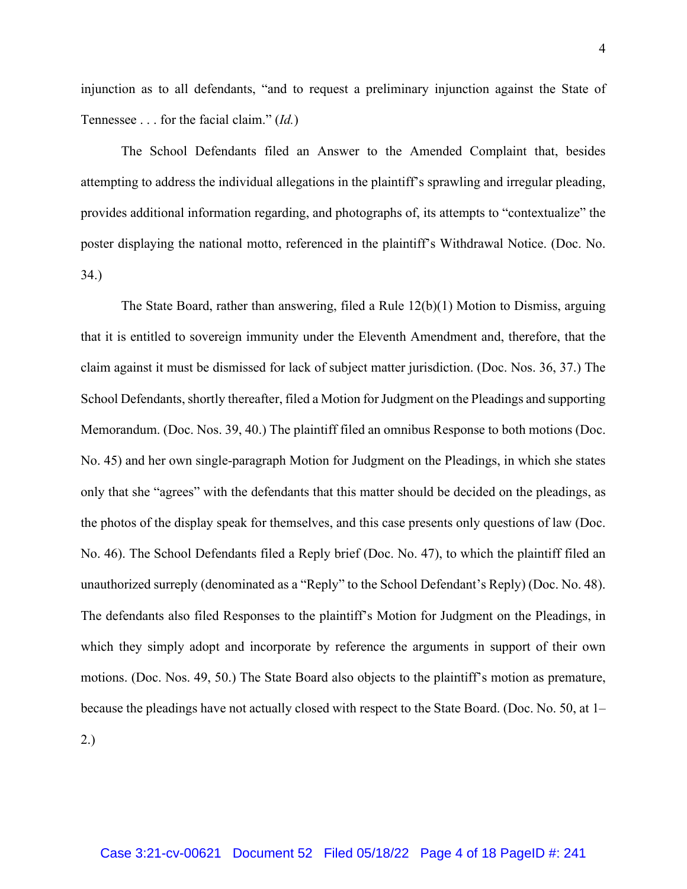injunction as to all defendants, "and to request a preliminary injunction against the State of Tennessee . . . for the facial claim." (*Id.*)

The School Defendants filed an Answer to the Amended Complaint that, besides attempting to address the individual allegations in the plaintiff's sprawling and irregular pleading, provides additional information regarding, and photographs of, its attempts to "contextualize" the poster displaying the national motto, referenced in the plaintiff's Withdrawal Notice. (Doc. No. 34.)

The State Board, rather than answering, filed a Rule 12(b)(1) Motion to Dismiss, arguing that it is entitled to sovereign immunity under the Eleventh Amendment and, therefore, that the claim against it must be dismissed for lack of subject matter jurisdiction. (Doc. Nos. 36, 37.) The School Defendants, shortly thereafter, filed a Motion for Judgment on the Pleadings and supporting Memorandum. (Doc. Nos. 39, 40.) The plaintiff filed an omnibus Response to both motions (Doc. No. 45) and her own single-paragraph Motion for Judgment on the Pleadings, in which she states only that she "agrees" with the defendants that this matter should be decided on the pleadings, as the photos of the display speak for themselves, and this case presents only questions of law (Doc. No. 46). The School Defendants filed a Reply brief (Doc. No. 47), to which the plaintiff filed an unauthorized surreply (denominated as a "Reply" to the School Defendant's Reply) (Doc. No. 48). The defendants also filed Responses to the plaintiff's Motion for Judgment on the Pleadings, in which they simply adopt and incorporate by reference the arguments in support of their own motions. (Doc. Nos. 49, 50.) The State Board also objects to the plaintiff's motion as premature, because the pleadings have not actually closed with respect to the State Board. (Doc. No. 50, at 1– 2.)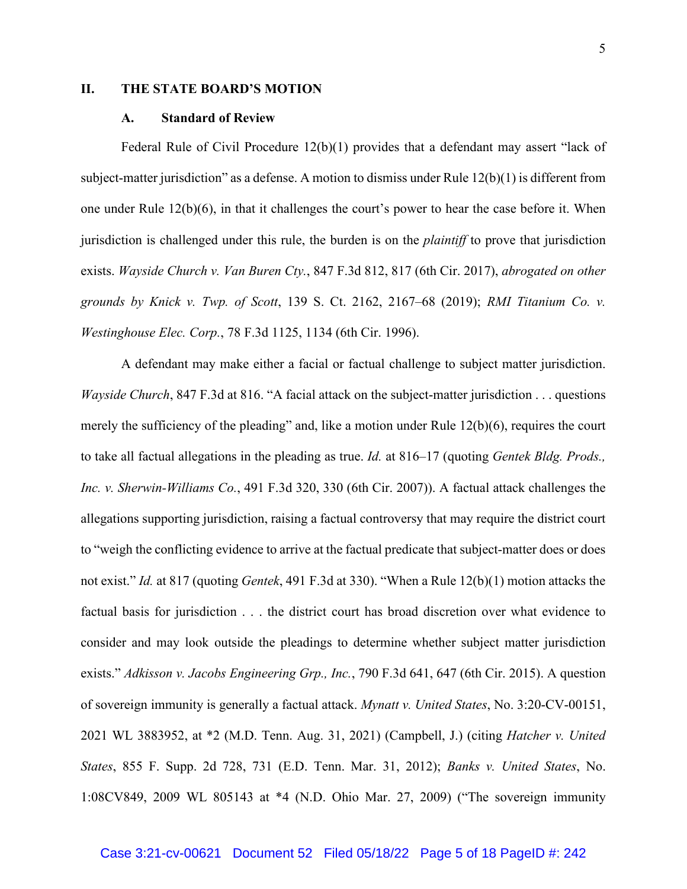## **II. THE STATE BOARD'S MOTION**

#### **A. Standard of Review**

Federal Rule of Civil Procedure 12(b)(1) provides that a defendant may assert "lack of subject-matter jurisdiction" as a defense. A motion to dismiss under Rule  $12(b)(1)$  is different from one under Rule 12(b)(6), in that it challenges the court's power to hear the case before it. When jurisdiction is challenged under this rule, the burden is on the *plaintiff* to prove that jurisdiction exists. *Wayside Church v. Van Buren Cty.*, 847 F.3d 812, 817 (6th Cir. 2017), *abrogated on other grounds by Knick v. Twp. of Scott*, 139 S. Ct. 2162, 2167–68 (2019); *RMI Titanium Co. v. Westinghouse Elec. Corp.*, 78 F.3d 1125, 1134 (6th Cir. 1996).

 A defendant may make either a facial or factual challenge to subject matter jurisdiction. *Wayside Church*, 847 F.3d at 816. "A facial attack on the subject-matter jurisdiction . . . questions merely the sufficiency of the pleading" and, like a motion under Rule 12(b)(6), requires the court to take all factual allegations in the pleading as true. *Id.* at 816–17 (quoting *Gentek Bldg. Prods., Inc. v. Sherwin-Williams Co.*, 491 F.3d 320, 330 (6th Cir. 2007)). A factual attack challenges the allegations supporting jurisdiction, raising a factual controversy that may require the district court to "weigh the conflicting evidence to arrive at the factual predicate that subject-matter does or does not exist." *Id.* at 817 (quoting *Gentek*, 491 F.3d at 330). "When a Rule 12(b)(1) motion attacks the factual basis for jurisdiction . . . the district court has broad discretion over what evidence to consider and may look outside the pleadings to determine whether subject matter jurisdiction exists." *Adkisson v. Jacobs Engineering Grp., Inc.*, 790 F.3d 641, 647 (6th Cir. 2015). A question of sovereign immunity is generally a factual attack. *Mynatt v. United States*, No. 3:20-CV-00151, 2021 WL 3883952, at \*2 (M.D. Tenn. Aug. 31, 2021) (Campbell, J.) (citing *Hatcher v. United States*, 855 F. Supp. 2d 728, 731 (E.D. Tenn. Mar. 31, 2012); *Banks v. United States*, No. 1:08CV849, 2009 WL 805143 at \*4 (N.D. Ohio Mar. 27, 2009) ("The sovereign immunity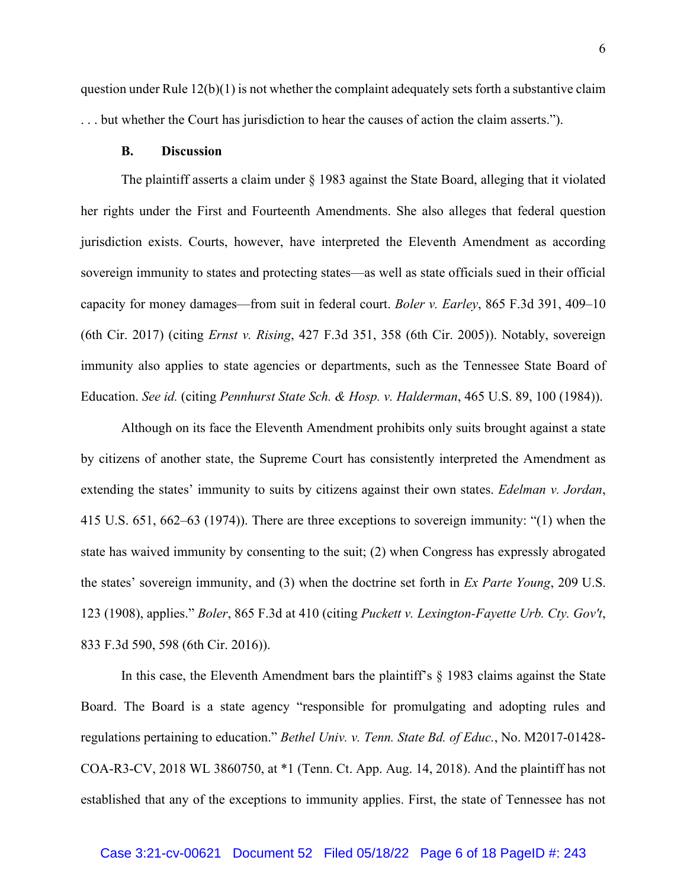question under Rule  $12(b)(1)$  is not whether the complaint adequately sets forth a substantive claim . . . but whether the Court has jurisdiction to hear the causes of action the claim asserts.").

#### **B. Discussion**

The plaintiff asserts a claim under § 1983 against the State Board, alleging that it violated her rights under the First and Fourteenth Amendments. She also alleges that federal question jurisdiction exists. Courts, however, have interpreted the Eleventh Amendment as according sovereign immunity to states and protecting states—as well as state officials sued in their official capacity for money damages—from suit in federal court. *Boler v. Earley*, 865 F.3d 391, 409–10 (6th Cir. 2017) (citing *Ernst v. Rising*, 427 F.3d 351, 358 (6th Cir. 2005)). Notably, sovereign immunity also applies to state agencies or departments, such as the Tennessee State Board of Education. *See id.* (citing *Pennhurst State Sch. & Hosp. v. Halderman*, 465 U.S. 89, 100 (1984)).

Although on its face the Eleventh Amendment prohibits only suits brought against a state by citizens of another state, the Supreme Court has consistently interpreted the Amendment as extending the states' immunity to suits by citizens against their own states. *Edelman v. Jordan*, 415 U.S. 651, 662–63 (1974)). There are three exceptions to sovereign immunity: "(1) when the state has waived immunity by consenting to the suit; (2) when Congress has expressly abrogated the states' sovereign immunity, and (3) when the doctrine set forth in *Ex Parte Young*, 209 U.S. 123 (1908), applies." *Boler*, 865 F.3d at 410 (citing *Puckett v. Lexington-Fayette Urb. Cty. Gov't*, 833 F.3d 590, 598 (6th Cir. 2016)).

In this case, the Eleventh Amendment bars the plaintiff's § 1983 claims against the State Board. The Board is a state agency "responsible for promulgating and adopting rules and regulations pertaining to education." *Bethel Univ. v. Tenn. State Bd. of Educ.*, No. M2017-01428- COA-R3-CV, 2018 WL 3860750, at \*1 (Tenn. Ct. App. Aug. 14, 2018). And the plaintiff has not established that any of the exceptions to immunity applies. First, the state of Tennessee has not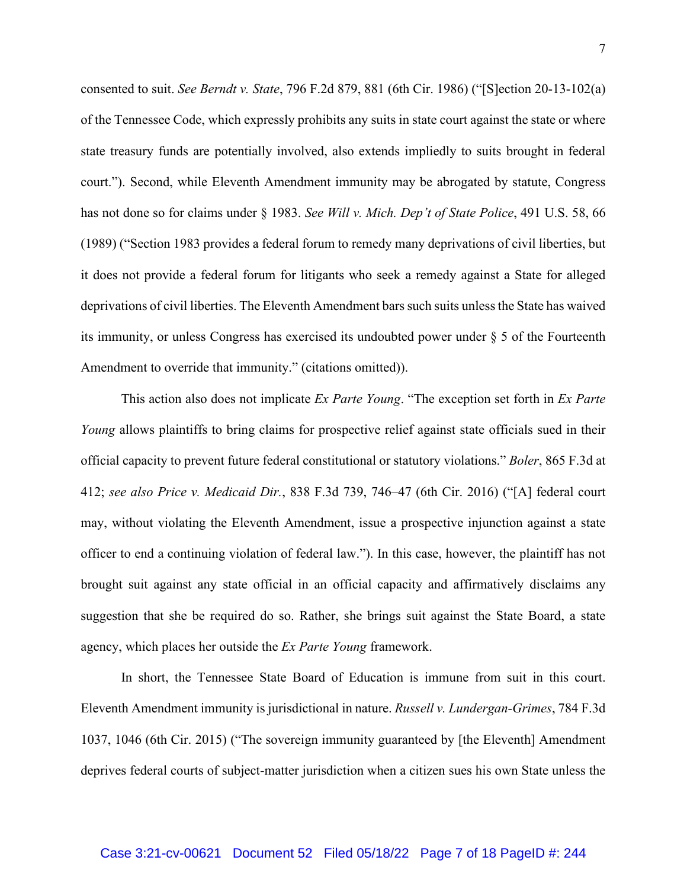consented to suit. *See Berndt v. State*, 796 F.2d 879, 881 (6th Cir. 1986) ("[S]ection 20-13-102(a) of the Tennessee Code, which expressly prohibits any suits in state court against the state or where state treasury funds are potentially involved, also extends impliedly to suits brought in federal court."). Second, while Eleventh Amendment immunity may be abrogated by statute, Congress has not done so for claims under § 1983. *See Will v. Mich. Dep't of State Police*, 491 U.S. 58, 66 (1989) ("Section 1983 provides a federal forum to remedy many deprivations of civil liberties, but it does not provide a federal forum for litigants who seek a remedy against a State for alleged deprivations of civil liberties. The Eleventh Amendment bars such suits unless the State has waived its immunity, or unless Congress has exercised its undoubted power under § 5 of the Fourteenth Amendment to override that immunity." (citations omitted)).

This action also does not implicate *Ex Parte Young*. "The exception set forth in *Ex Parte Young* allows plaintiffs to bring claims for prospective relief against state officials sued in their official capacity to prevent future federal constitutional or statutory violations." *Boler*, 865 F.3d at 412; *see also Price v. Medicaid Dir.*, 838 F.3d 739, 746–47 (6th Cir. 2016) ("[A] federal court may, without violating the Eleventh Amendment, issue a prospective injunction against a state officer to end a continuing violation of federal law."). In this case, however, the plaintiff has not brought suit against any state official in an official capacity and affirmatively disclaims any suggestion that she be required do so. Rather, she brings suit against the State Board, a state agency, which places her outside the *Ex Parte Young* framework.

In short, the Tennessee State Board of Education is immune from suit in this court. Eleventh Amendment immunity is jurisdictional in nature. *Russell v. Lundergan-Grimes*, 784 F.3d 1037, 1046 (6th Cir. 2015) ("The sovereign immunity guaranteed by [the Eleventh] Amendment deprives federal courts of subject-matter jurisdiction when a citizen sues his own State unless the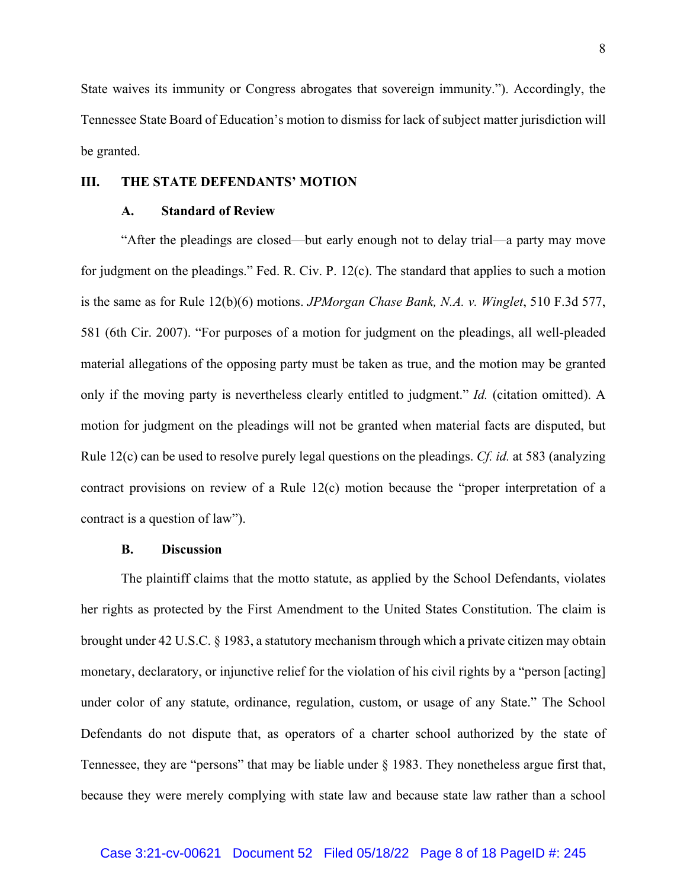State waives its immunity or Congress abrogates that sovereign immunity."). Accordingly, the Tennessee State Board of Education's motion to dismiss for lack of subject matter jurisdiction will be granted.

### **III. THE STATE DEFENDANTS' MOTION**

#### **A. Standard of Review**

"After the pleadings are closed—but early enough not to delay trial—a party may move for judgment on the pleadings." Fed. R. Civ. P. 12(c). The standard that applies to such a motion is the same as for Rule 12(b)(6) motions. *JPMorgan Chase Bank, N.A. v. Winglet*, 510 F.3d 577, 581 (6th Cir. 2007). "For purposes of a motion for judgment on the pleadings, all well-pleaded material allegations of the opposing party must be taken as true, and the motion may be granted only if the moving party is nevertheless clearly entitled to judgment." *Id.* (citation omitted). A motion for judgment on the pleadings will not be granted when material facts are disputed, but Rule 12(c) can be used to resolve purely legal questions on the pleadings. *Cf. id.* at 583 (analyzing contract provisions on review of a Rule 12(c) motion because the "proper interpretation of a contract is a question of law").

## **B. Discussion**

The plaintiff claims that the motto statute, as applied by the School Defendants, violates her rights as protected by the First Amendment to the United States Constitution. The claim is brought under 42 U.S.C. § 1983, a statutory mechanism through which a private citizen may obtain monetary, declaratory, or injunctive relief for the violation of his civil rights by a "person [acting] under color of any statute, ordinance, regulation, custom, or usage of any State." The School Defendants do not dispute that, as operators of a charter school authorized by the state of Tennessee, they are "persons" that may be liable under § 1983. They nonetheless argue first that, because they were merely complying with state law and because state law rather than a school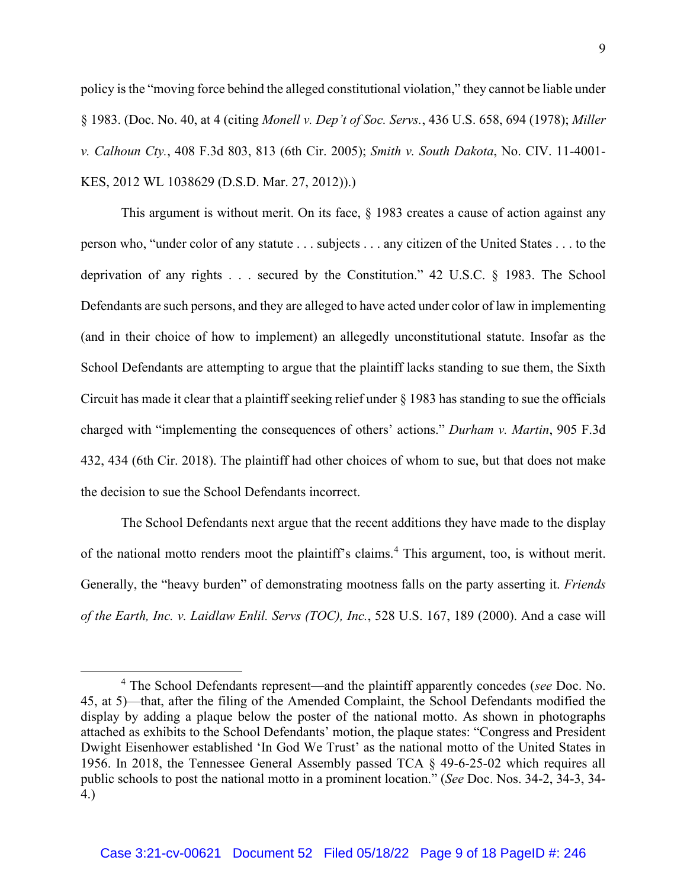policy is the "moving force behind the alleged constitutional violation," they cannot be liable under § 1983. (Doc. No. 40, at 4 (citing *Monell v. Dep't of Soc. Servs.*, 436 U.S. 658, 694 (1978); *Miller v. Calhoun Cty.*, 408 F.3d 803, 813 (6th Cir. 2005); *Smith v. South Dakota*, No. CIV. 11-4001- KES, 2012 WL 1038629 (D.S.D. Mar. 27, 2012)).)

This argument is without merit. On its face, § 1983 creates a cause of action against any person who, "under color of any statute . . . subjects . . . any citizen of the United States . . . to the deprivation of any rights . . . secured by the Constitution." 42 U.S.C. § 1983. The School Defendants are such persons, and they are alleged to have acted under color of law in implementing (and in their choice of how to implement) an allegedly unconstitutional statute. Insofar as the School Defendants are attempting to argue that the plaintiff lacks standing to sue them, the Sixth Circuit has made it clear that a plaintiff seeking relief under § 1983 has standing to sue the officials charged with "implementing the consequences of others' actions." *Durham v. Martin*, 905 F.3d 432, 434 (6th Cir. 2018). The plaintiff had other choices of whom to sue, but that does not make the decision to sue the School Defendants incorrect.

The School Defendants next argue that the recent additions they have made to the display of the national motto renders moot the plaintiff's claims.<sup>4</sup> This argument, too, is without merit. Generally, the "heavy burden" of demonstrating mootness falls on the party asserting it. *Friends of the Earth, Inc. v. Laidlaw Enlil. Servs (TOC), Inc.*, 528 U.S. 167, 189 (2000). And a case will

<sup>4</sup> The School Defendants represent—and the plaintiff apparently concedes (*see* Doc. No. 45, at 5)—that, after the filing of the Amended Complaint, the School Defendants modified the display by adding a plaque below the poster of the national motto. As shown in photographs attached as exhibits to the School Defendants' motion, the plaque states: "Congress and President Dwight Eisenhower established 'In God We Trust' as the national motto of the United States in 1956. In 2018, the Tennessee General Assembly passed TCA § 49-6-25-02 which requires all public schools to post the national motto in a prominent location." (*See* Doc. Nos. 34-2, 34-3, 34- 4.)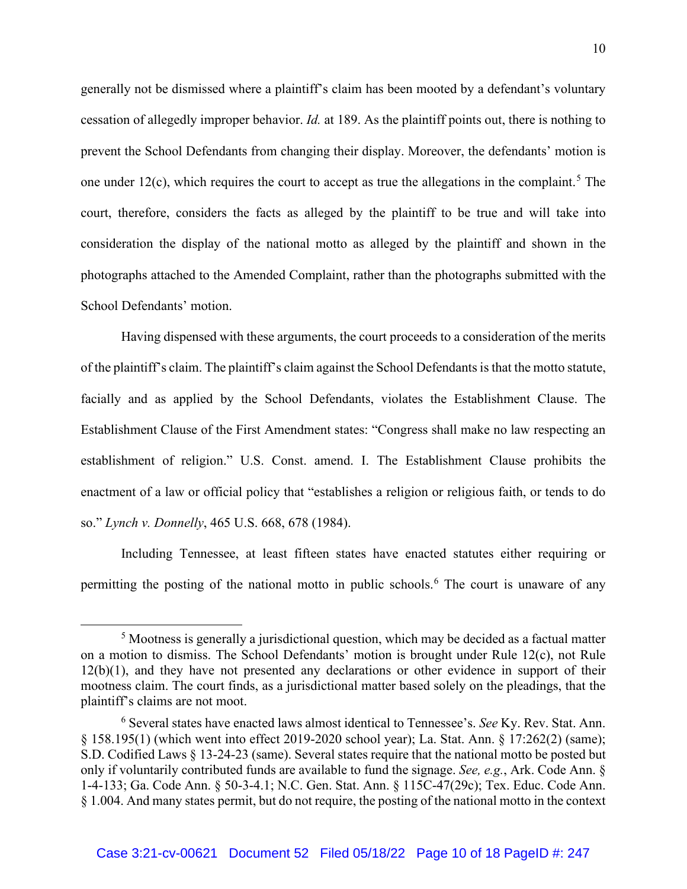generally not be dismissed where a plaintiff's claim has been mooted by a defendant's voluntary cessation of allegedly improper behavior. *Id.* at 189. As the plaintiff points out, there is nothing to prevent the School Defendants from changing their display. Moreover, the defendants' motion is one under 12(c), which requires the court to accept as true the allegations in the complaint.<sup>5</sup> The court, therefore, considers the facts as alleged by the plaintiff to be true and will take into consideration the display of the national motto as alleged by the plaintiff and shown in the photographs attached to the Amended Complaint, rather than the photographs submitted with the School Defendants' motion.

Having dispensed with these arguments, the court proceeds to a consideration of the merits of the plaintiff's claim. The plaintiff's claim against the School Defendants is that the motto statute, facially and as applied by the School Defendants, violates the Establishment Clause. The Establishment Clause of the First Amendment states: "Congress shall make no law respecting an establishment of religion." U.S. Const. amend. I. The Establishment Clause prohibits the enactment of a law or official policy that "establishes a religion or religious faith, or tends to do so." *Lynch v. Donnelly*, 465 U.S. 668, 678 (1984).

 Including Tennessee, at least fifteen states have enacted statutes either requiring or permitting the posting of the national motto in public schools.<sup>6</sup> The court is unaware of any

<sup>5</sup> Mootness is generally a jurisdictional question, which may be decided as a factual matter on a motion to dismiss. The School Defendants' motion is brought under Rule 12(c), not Rule 12(b)(1), and they have not presented any declarations or other evidence in support of their mootness claim. The court finds, as a jurisdictional matter based solely on the pleadings, that the plaintiff's claims are not moot.

<sup>6</sup> Several states have enacted laws almost identical to Tennessee's. *See* Ky. Rev. Stat. Ann. § 158.195(1) (which went into effect 2019-2020 school year); La. Stat. Ann. § 17:262(2) (same); S.D. Codified Laws § 13-24-23 (same). Several states require that the national motto be posted but only if voluntarily contributed funds are available to fund the signage. *See, e.g.*, Ark. Code Ann. § 1-4-133; Ga. Code Ann. § 50-3-4.1; N.C. Gen. Stat. Ann. § 115C-47(29c); Tex. Educ. Code Ann. § 1.004. And many states permit, but do not require, the posting of the national motto in the context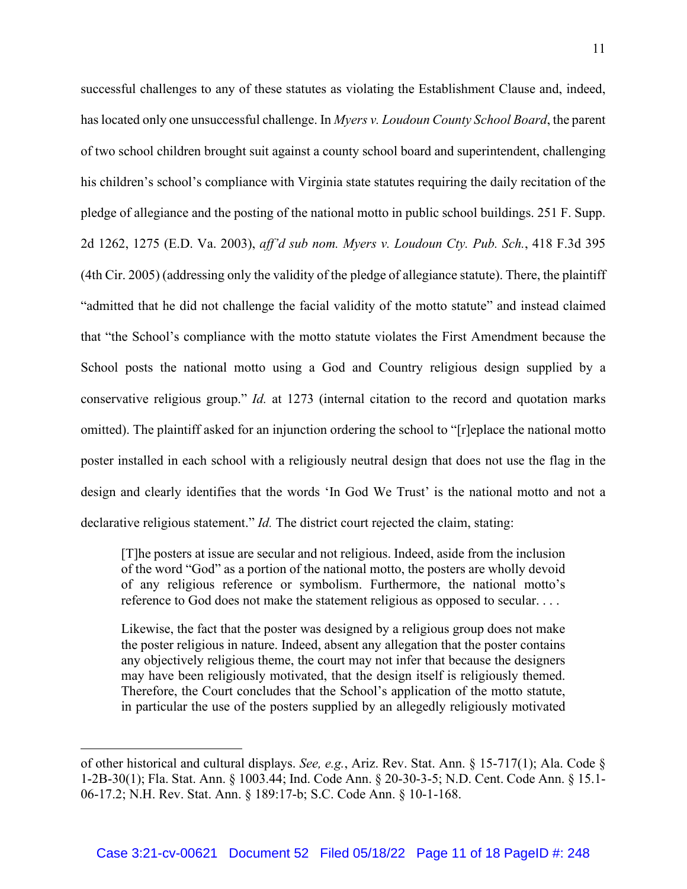successful challenges to any of these statutes as violating the Establishment Clause and, indeed, has located only one unsuccessful challenge. In *Myers v. Loudoun County School Board*, the parent of two school children brought suit against a county school board and superintendent, challenging his children's school's compliance with Virginia state statutes requiring the daily recitation of the pledge of allegiance and the posting of the national motto in public school buildings. 251 F. Supp. 2d 1262, 1275 (E.D. Va. 2003), *aff'd sub nom. Myers v. Loudoun Cty. Pub. Sch.*, 418 F.3d 395 (4th Cir. 2005) (addressing only the validity of the pledge of allegiance statute). There, the plaintiff "admitted that he did not challenge the facial validity of the motto statute" and instead claimed that "the School's compliance with the motto statute violates the First Amendment because the School posts the national motto using a God and Country religious design supplied by a conservative religious group." *Id.* at 1273 (internal citation to the record and quotation marks omitted). The plaintiff asked for an injunction ordering the school to "[r]eplace the national motto poster installed in each school with a religiously neutral design that does not use the flag in the design and clearly identifies that the words 'In God We Trust' is the national motto and not a declarative religious statement." *Id*. The district court rejected the claim, stating:

[T]he posters at issue are secular and not religious. Indeed, aside from the inclusion of the word "God" as a portion of the national motto, the posters are wholly devoid of any religious reference or symbolism. Furthermore, the national motto's reference to God does not make the statement religious as opposed to secular. . . .

Likewise, the fact that the poster was designed by a religious group does not make the poster religious in nature. Indeed, absent any allegation that the poster contains any objectively religious theme, the court may not infer that because the designers may have been religiously motivated, that the design itself is religiously themed. Therefore, the Court concludes that the School's application of the motto statute, in particular the use of the posters supplied by an allegedly religiously motivated

of other historical and cultural displays. *See, e.g.*, Ariz. Rev. Stat. Ann. § 15-717(1); Ala. Code § 1-2B-30(1); Fla. Stat. Ann. § 1003.44; Ind. Code Ann. § 20-30-3-5; N.D. Cent. Code Ann. § 15.1- 06-17.2; N.H. Rev. Stat. Ann. § 189:17-b; S.C. Code Ann. § 10-1-168.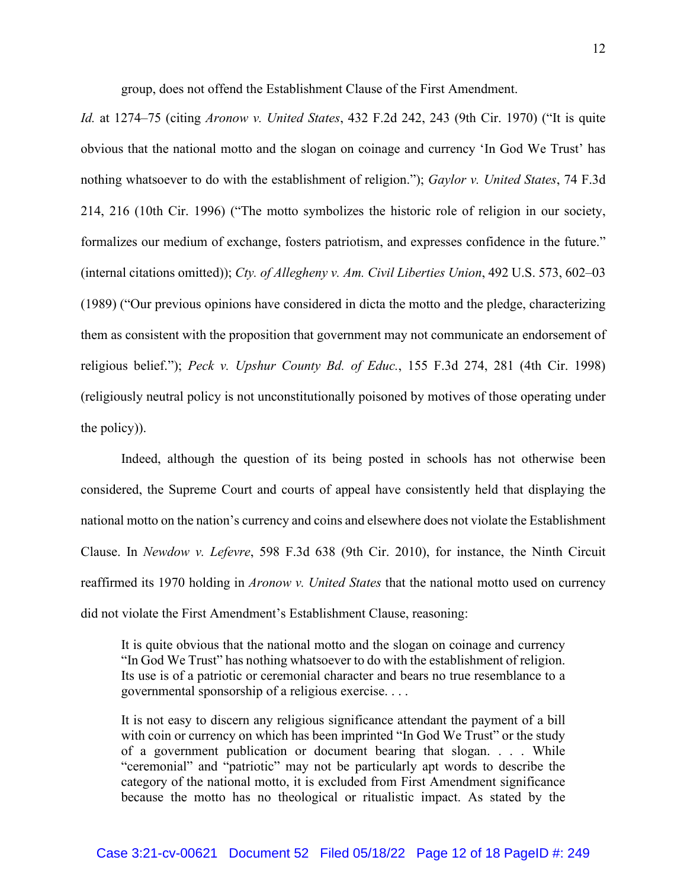group, does not offend the Establishment Clause of the First Amendment.

*Id.* at 1274–75 (citing *Aronow v. United States*, 432 F.2d 242, 243 (9th Cir. 1970) ("It is quite obvious that the national motto and the slogan on coinage and currency 'In God We Trust' has nothing whatsoever to do with the establishment of religion."); *Gaylor v. United States*, 74 F.3d 214, 216 (10th Cir. 1996) ("The motto symbolizes the historic role of religion in our society, formalizes our medium of exchange, fosters patriotism, and expresses confidence in the future." (internal citations omitted)); *Cty. of Allegheny v. Am. Civil Liberties Union*, 492 U.S. 573, 602–03 (1989) ("Our previous opinions have considered in dicta the motto and the pledge, characterizing them as consistent with the proposition that government may not communicate an endorsement of religious belief."); *Peck v. Upshur County Bd. of Educ.*, 155 F.3d 274, 281 (4th Cir. 1998) (religiously neutral policy is not unconstitutionally poisoned by motives of those operating under the policy)).

Indeed, although the question of its being posted in schools has not otherwise been considered, the Supreme Court and courts of appeal have consistently held that displaying the national motto on the nation's currency and coins and elsewhere does not violate the Establishment Clause. In *Newdow v. Lefevre*, 598 F.3d 638 (9th Cir. 2010), for instance, the Ninth Circuit reaffirmed its 1970 holding in *Aronow v. United States* that the national motto used on currency did not violate the First Amendment's Establishment Clause, reasoning:

It is quite obvious that the national motto and the slogan on coinage and currency "In God We Trust" has nothing whatsoever to do with the establishment of religion. Its use is of a patriotic or ceremonial character and bears no true resemblance to a governmental sponsorship of a religious exercise. . . .

It is not easy to discern any religious significance attendant the payment of a bill with coin or currency on which has been imprinted "In God We Trust" or the study of a government publication or document bearing that slogan. . . . While "ceremonial" and "patriotic" may not be particularly apt words to describe the category of the national motto, it is excluded from First Amendment significance because the motto has no theological or ritualistic impact. As stated by the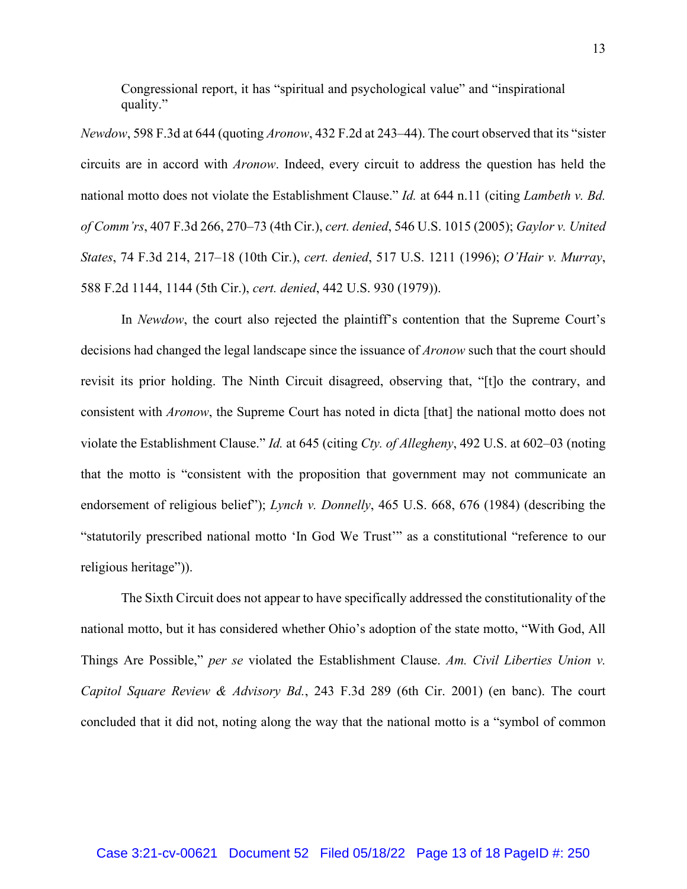Congressional report, it has "spiritual and psychological value" and "inspirational quality."

*Newdow*, 598 F.3d at 644 (quoting *Aronow*, 432 F.2d at 243–44). The court observed that its "sister circuits are in accord with *Aronow*. Indeed, every circuit to address the question has held the national motto does not violate the Establishment Clause." *Id.* at 644 n.11 (citing *Lambeth v. Bd. of Comm'rs*, 407 F.3d 266, 270–73 (4th Cir.), *cert. denied*, 546 U.S. 1015 (2005); *Gaylor v. United States*, 74 F.3d 214, 217–18 (10th Cir.), *cert. denied*, 517 U.S. 1211 (1996); *O'Hair v. Murray*, 588 F.2d 1144, 1144 (5th Cir.), *cert. denied*, 442 U.S. 930 (1979)).

In *Newdow*, the court also rejected the plaintiff's contention that the Supreme Court's decisions had changed the legal landscape since the issuance of *Aronow* such that the court should revisit its prior holding. The Ninth Circuit disagreed, observing that, "[t]o the contrary, and consistent with *Aronow*, the Supreme Court has noted in dicta [that] the national motto does not violate the Establishment Clause." *Id.* at 645 (citing *Cty. of Allegheny*, 492 U.S. at 602–03 (noting that the motto is "consistent with the proposition that government may not communicate an endorsement of religious belief"); *Lynch v. Donnelly*, 465 U.S. 668, 676 (1984) (describing the "statutorily prescribed national motto 'In God We Trust'" as a constitutional "reference to our religious heritage")).

The Sixth Circuit does not appear to have specifically addressed the constitutionality of the national motto, but it has considered whether Ohio's adoption of the state motto, "With God, All Things Are Possible," *per se* violated the Establishment Clause. *Am. Civil Liberties Union v. Capitol Square Review & Advisory Bd.*, 243 F.3d 289 (6th Cir. 2001) (en banc). The court concluded that it did not, noting along the way that the national motto is a "symbol of common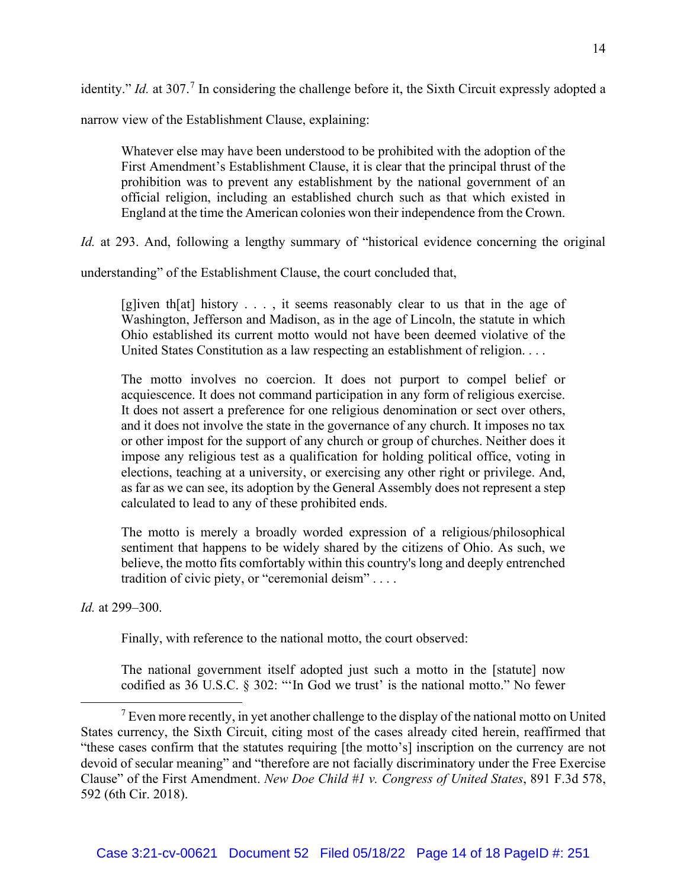identity." *Id.* at 307.<sup>7</sup> In considering the challenge before it, the Sixth Circuit expressly adopted a

narrow view of the Establishment Clause, explaining:

Whatever else may have been understood to be prohibited with the adoption of the First Amendment's Establishment Clause, it is clear that the principal thrust of the prohibition was to prevent any establishment by the national government of an official religion, including an established church such as that which existed in England at the time the American colonies won their independence from the Crown.

*Id.* at 293. And, following a lengthy summary of "historical evidence concerning the original

understanding" of the Establishment Clause, the court concluded that,

[g]iven th[at] history . . . , it seems reasonably clear to us that in the age of Washington, Jefferson and Madison, as in the age of Lincoln, the statute in which Ohio established its current motto would not have been deemed violative of the United States Constitution as a law respecting an establishment of religion. . . .

The motto involves no coercion. It does not purport to compel belief or acquiescence. It does not command participation in any form of religious exercise. It does not assert a preference for one religious denomination or sect over others, and it does not involve the state in the governance of any church. It imposes no tax or other impost for the support of any church or group of churches. Neither does it impose any religious test as a qualification for holding political office, voting in elections, teaching at a university, or exercising any other right or privilege. And, as far as we can see, its adoption by the General Assembly does not represent a step calculated to lead to any of these prohibited ends.

The motto is merely a broadly worded expression of a religious/philosophical sentiment that happens to be widely shared by the citizens of Ohio. As such, we believe, the motto fits comfortably within this country's long and deeply entrenched tradition of civic piety, or "ceremonial deism" . . . .

*Id.* at 299–300.

Finally, with reference to the national motto, the court observed:

The national government itself adopted just such a motto in the [statute] now codified as 36 U.S.C. § 302: "'In God we trust' is the national motto." No fewer

 $<sup>7</sup>$  Even more recently, in yet another challenge to the display of the national motto on United</sup> States currency, the Sixth Circuit, citing most of the cases already cited herein, reaffirmed that "these cases confirm that the statutes requiring [the motto's] inscription on the currency are not devoid of secular meaning" and "therefore are not facially discriminatory under the Free Exercise Clause" of the First Amendment. *New Doe Child #1 v. Congress of United States*, 891 F.3d 578, 592 (6th Cir. 2018).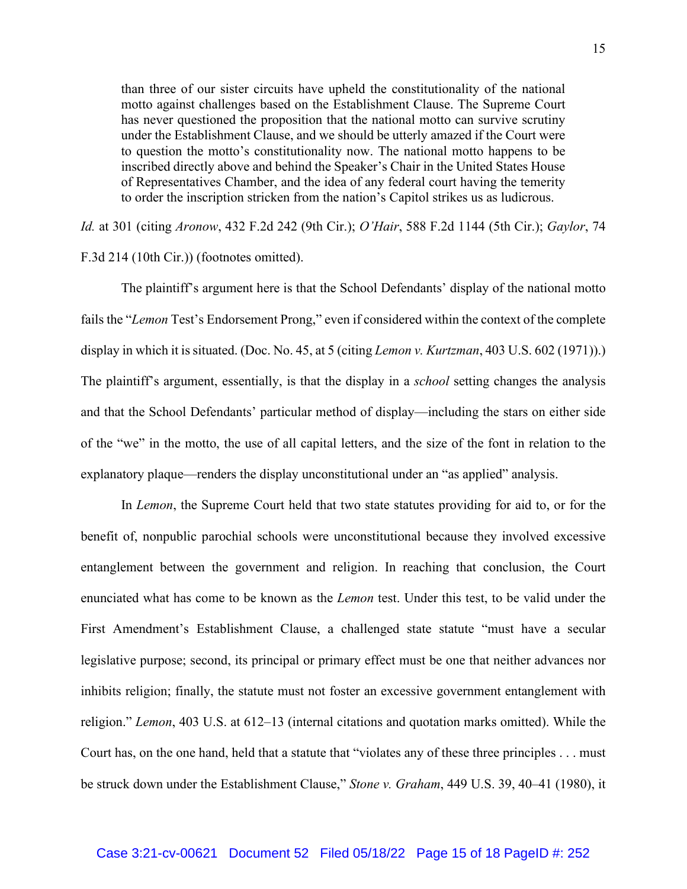than three of our sister circuits have upheld the constitutionality of the national motto against challenges based on the Establishment Clause. The Supreme Court has never questioned the proposition that the national motto can survive scrutiny under the Establishment Clause, and we should be utterly amazed if the Court were to question the motto's constitutionality now. The national motto happens to be inscribed directly above and behind the Speaker's Chair in the United States House of Representatives Chamber, and the idea of any federal court having the temerity to order the inscription stricken from the nation's Capitol strikes us as ludicrous.

*Id.* at 301 (citing *Aronow*, 432 F.2d 242 (9th Cir.); *O'Hair*, 588 F.2d 1144 (5th Cir.); *Gaylor*, 74 F.3d 214 (10th Cir.)) (footnotes omitted).

The plaintiff's argument here is that the School Defendants' display of the national motto fails the "*Lemon* Test's Endorsement Prong," even if considered within the context of the complete display in which it is situated. (Doc. No. 45, at 5 (citing *Lemon v. Kurtzman*, 403 U.S. 602 (1971)).) The plaintiff's argument, essentially, is that the display in a *school* setting changes the analysis and that the School Defendants' particular method of display—including the stars on either side of the "we" in the motto, the use of all capital letters, and the size of the font in relation to the explanatory plaque—renders the display unconstitutional under an "as applied" analysis.

In *Lemon*, the Supreme Court held that two state statutes providing for aid to, or for the benefit of, nonpublic parochial schools were unconstitutional because they involved excessive entanglement between the government and religion. In reaching that conclusion, the Court enunciated what has come to be known as the *Lemon* test. Under this test, to be valid under the First Amendment's Establishment Clause, a challenged state statute "must have a secular legislative purpose; second, its principal or primary effect must be one that neither advances nor inhibits religion; finally, the statute must not foster an excessive government entanglement with religion." *Lemon*, 403 U.S. at 612–13 (internal citations and quotation marks omitted). While the Court has, on the one hand, held that a statute that "violates any of these three principles . . . must be struck down under the Establishment Clause," *Stone v. Graham*, 449 U.S. 39, 40–41 (1980), it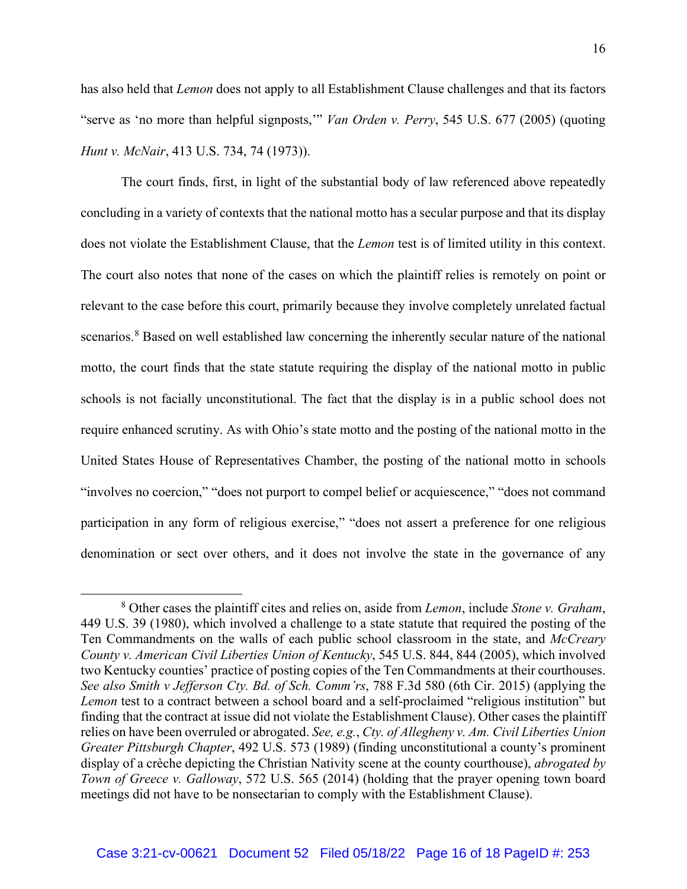has also held that *Lemon* does not apply to all Establishment Clause challenges and that its factors "serve as 'no more than helpful signposts,'" *Van Orden v. Perry*, 545 U.S. 677 (2005) (quoting *Hunt v. McNair*, 413 U.S. 734, 74 (1973)).

The court finds, first, in light of the substantial body of law referenced above repeatedly concluding in a variety of contexts that the national motto has a secular purpose and that its display does not violate the Establishment Clause, that the *Lemon* test is of limited utility in this context. The court also notes that none of the cases on which the plaintiff relies is remotely on point or relevant to the case before this court, primarily because they involve completely unrelated factual scenarios.<sup>8</sup> Based on well established law concerning the inherently secular nature of the national motto, the court finds that the state statute requiring the display of the national motto in public schools is not facially unconstitutional. The fact that the display is in a public school does not require enhanced scrutiny. As with Ohio's state motto and the posting of the national motto in the United States House of Representatives Chamber, the posting of the national motto in schools "involves no coercion," "does not purport to compel belief or acquiescence," "does not command participation in any form of religious exercise," "does not assert a preference for one religious denomination or sect over others, and it does not involve the state in the governance of any

<sup>8</sup> Other cases the plaintiff cites and relies on, aside from *Lemon*, include *Stone v. Graham*, 449 U.S. 39 (1980), which involved a challenge to a state statute that required the posting of the Ten Commandments on the walls of each public school classroom in the state, and *McCreary County v. American Civil Liberties Union of Kentucky*, 545 U.S. 844, 844 (2005), which involved two Kentucky counties' practice of posting copies of the Ten Commandments at their courthouses. *See also Smith v Jefferson Cty. Bd. of Sch. Comm'rs*, 788 F.3d 580 (6th Cir. 2015) (applying the *Lemon* test to a contract between a school board and a self-proclaimed "religious institution" but finding that the contract at issue did not violate the Establishment Clause). Other cases the plaintiff relies on have been overruled or abrogated. *See, e.g.*, *Cty. of Allegheny v. Am. Civil Liberties Union Greater Pittsburgh Chapter*, 492 U.S. 573 (1989) (finding unconstitutional a county's prominent display of a crèche depicting the Christian Nativity scene at the county courthouse), *abrogated by Town of Greece v. Galloway*, 572 U.S. 565 (2014) (holding that the prayer opening town board meetings did not have to be nonsectarian to comply with the Establishment Clause).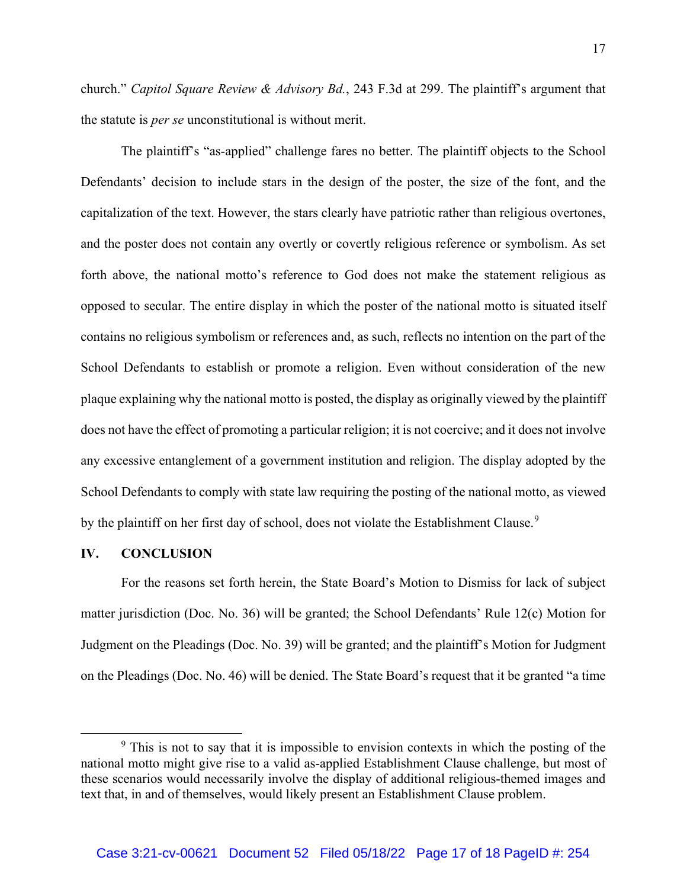church." *Capitol Square Review & Advisory Bd.*, 243 F.3d at 299. The plaintiff's argument that the statute is *per se* unconstitutional is without merit.

The plaintiff's "as-applied" challenge fares no better. The plaintiff objects to the School Defendants' decision to include stars in the design of the poster, the size of the font, and the capitalization of the text. However, the stars clearly have patriotic rather than religious overtones, and the poster does not contain any overtly or covertly religious reference or symbolism. As set forth above, the national motto's reference to God does not make the statement religious as opposed to secular. The entire display in which the poster of the national motto is situated itself contains no religious symbolism or references and, as such, reflects no intention on the part of the School Defendants to establish or promote a religion. Even without consideration of the new plaque explaining why the national motto is posted, the display as originally viewed by the plaintiff does not have the effect of promoting a particular religion; it is not coercive; and it does not involve any excessive entanglement of a government institution and religion. The display adopted by the School Defendants to comply with state law requiring the posting of the national motto, as viewed by the plaintiff on her first day of school, does not violate the Establishment Clause.<sup>9</sup>

#### **IV. CONCLUSION**

For the reasons set forth herein, the State Board's Motion to Dismiss for lack of subject matter jurisdiction (Doc. No. 36) will be granted; the School Defendants' Rule 12(c) Motion for Judgment on the Pleadings (Doc. No. 39) will be granted; and the plaintiff's Motion for Judgment on the Pleadings (Doc. No. 46) will be denied. The State Board's request that it be granted "a time

 $9$  This is not to say that it is impossible to envision contexts in which the posting of the national motto might give rise to a valid as-applied Establishment Clause challenge, but most of these scenarios would necessarily involve the display of additional religious-themed images and text that, in and of themselves, would likely present an Establishment Clause problem.